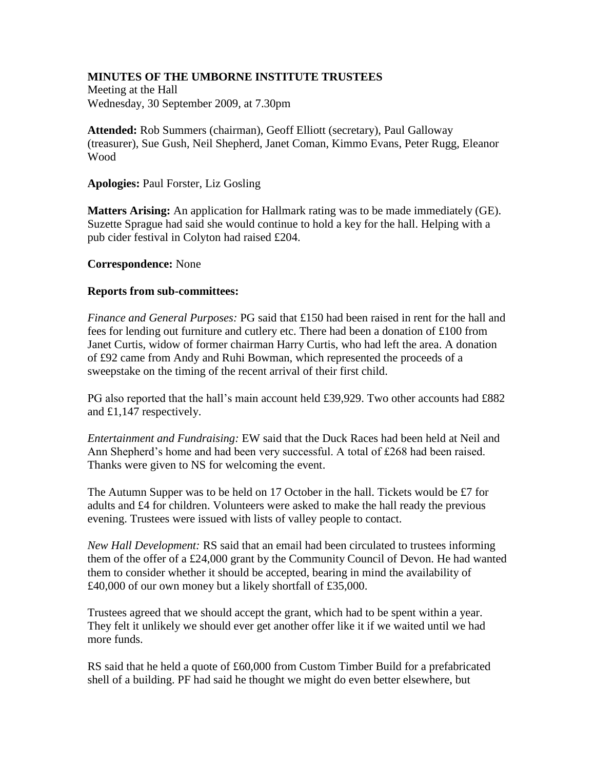## **MINUTES OF THE UMBORNE INSTITUTE TRUSTEES**

Meeting at the Hall Wednesday, 30 September 2009, at 7.30pm

**Attended:** Rob Summers (chairman), Geoff Elliott (secretary), Paul Galloway (treasurer), Sue Gush, Neil Shepherd, Janet Coman, Kimmo Evans, Peter Rugg, Eleanor Wood

**Apologies:** Paul Forster, Liz Gosling

**Matters Arising:** An application for Hallmark rating was to be made immediately (GE). Suzette Sprague had said she would continue to hold a key for the hall. Helping with a pub cider festival in Colyton had raised £204.

## **Correspondence:** None

## **Reports from sub-committees:**

*Finance and General Purposes:* PG said that £150 had been raised in rent for the hall and fees for lending out furniture and cutlery etc. There had been a donation of £100 from Janet Curtis, widow of former chairman Harry Curtis, who had left the area. A donation of £92 came from Andy and Ruhi Bowman, which represented the proceeds of a sweepstake on the timing of the recent arrival of their first child.

PG also reported that the hall's main account held £39,929. Two other accounts had £882 and £1,147 respectively.

*Entertainment and Fundraising:* EW said that the Duck Races had been held at Neil and Ann Shepherd's home and had been very successful. A total of £268 had been raised. Thanks were given to NS for welcoming the event.

The Autumn Supper was to be held on 17 October in the hall. Tickets would be £7 for adults and £4 for children. Volunteers were asked to make the hall ready the previous evening. Trustees were issued with lists of valley people to contact.

*New Hall Development:* RS said that an email had been circulated to trustees informing them of the offer of a £24,000 grant by the Community Council of Devon. He had wanted them to consider whether it should be accepted, bearing in mind the availability of £40,000 of our own money but a likely shortfall of £35,000.

Trustees agreed that we should accept the grant, which had to be spent within a year. They felt it unlikely we should ever get another offer like it if we waited until we had more funds.

RS said that he held a quote of £60,000 from Custom Timber Build for a prefabricated shell of a building. PF had said he thought we might do even better elsewhere, but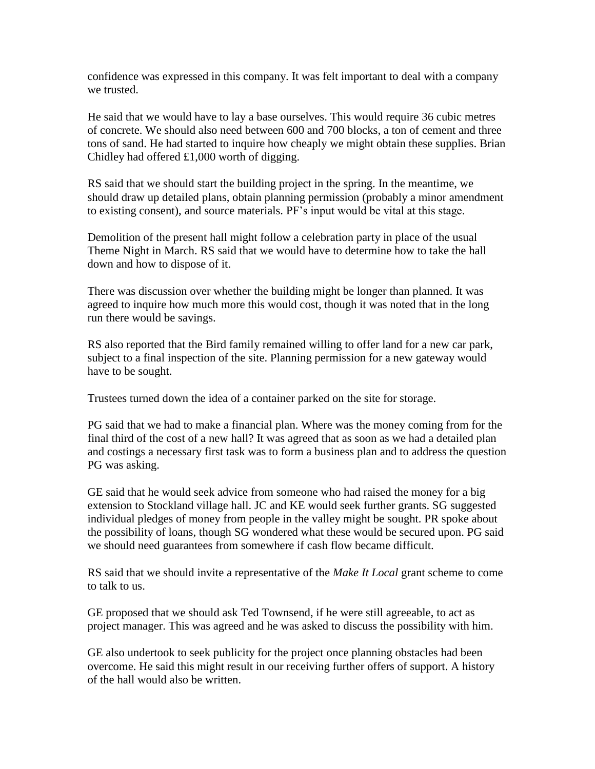confidence was expressed in this company. It was felt important to deal with a company we trusted.

He said that we would have to lay a base ourselves. This would require 36 cubic metres of concrete. We should also need between 600 and 700 blocks, a ton of cement and three tons of sand. He had started to inquire how cheaply we might obtain these supplies. Brian Chidley had offered £1,000 worth of digging.

RS said that we should start the building project in the spring. In the meantime, we should draw up detailed plans, obtain planning permission (probably a minor amendment to existing consent), and source materials. PF's input would be vital at this stage.

Demolition of the present hall might follow a celebration party in place of the usual Theme Night in March. RS said that we would have to determine how to take the hall down and how to dispose of it.

There was discussion over whether the building might be longer than planned. It was agreed to inquire how much more this would cost, though it was noted that in the long run there would be savings.

RS also reported that the Bird family remained willing to offer land for a new car park, subject to a final inspection of the site. Planning permission for a new gateway would have to be sought.

Trustees turned down the idea of a container parked on the site for storage.

PG said that we had to make a financial plan. Where was the money coming from for the final third of the cost of a new hall? It was agreed that as soon as we had a detailed plan and costings a necessary first task was to form a business plan and to address the question PG was asking.

GE said that he would seek advice from someone who had raised the money for a big extension to Stockland village hall. JC and KE would seek further grants. SG suggested individual pledges of money from people in the valley might be sought. PR spoke about the possibility of loans, though SG wondered what these would be secured upon. PG said we should need guarantees from somewhere if cash flow became difficult.

RS said that we should invite a representative of the *Make It Local* grant scheme to come to talk to us.

GE proposed that we should ask Ted Townsend, if he were still agreeable, to act as project manager. This was agreed and he was asked to discuss the possibility with him.

GE also undertook to seek publicity for the project once planning obstacles had been overcome. He said this might result in our receiving further offers of support. A history of the hall would also be written.